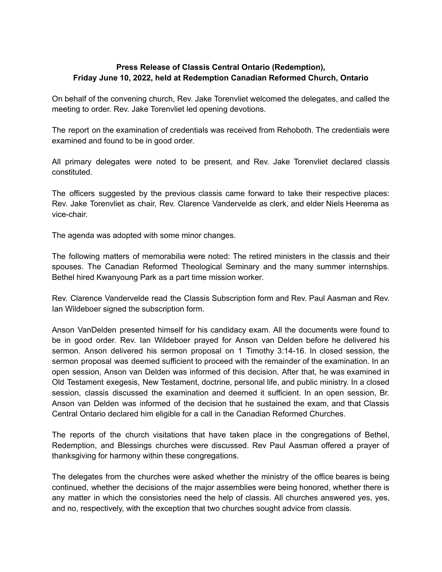## **Press Release of Classis Central Ontario (Redemption), Friday June 10, 2022, held at Redemption Canadian Reformed Church, Ontario**

On behalf of the convening church, Rev. Jake Torenvliet welcomed the delegates, and called the meeting to order. Rev. Jake Torenvliet led opening devotions.

The report on the examination of credentials was received from Rehoboth. The credentials were examined and found to be in good order.

All primary delegates were noted to be present, and Rev. Jake Torenvliet declared classis constituted.

The officers suggested by the previous classis came forward to take their respective places: Rev. Jake Torenvliet as chair, Rev. Clarence Vandervelde as clerk, and elder Niels Heerema as vice-chair.

The agenda was adopted with some minor changes.

The following matters of memorabilia were noted: The retired ministers in the classis and their spouses. The Canadian Reformed Theological Seminary and the many summer internships. Bethel hired Kwanyoung Park as a part time mission worker.

Rev. Clarence Vandervelde read the Classis Subscription form and Rev. Paul Aasman and Rev. Ian Wildeboer signed the subscription form.

Anson VanDelden presented himself for his candidacy exam. All the documents were found to be in good order. Rev. Ian Wildeboer prayed for Anson van Delden before he delivered his sermon. Anson delivered his sermon proposal on 1 Timothy 3:14-16. In closed session, the sermon proposal was deemed sufficient to proceed with the remainder of the examination. In an open session, Anson van Delden was informed of this decision. After that, he was examined in Old Testament exegesis, New Testament, doctrine, personal life, and public ministry. In a closed session, classis discussed the examination and deemed it sufficient. In an open session, Br. Anson van Delden was informed of the decision that he sustained the exam, and that Classis Central Ontario declared him eligible for a call in the Canadian Reformed Churches.

The reports of the church visitations that have taken place in the congregations of Bethel, Redemption, and Blessings churches were discussed. Rev Paul Aasman offered a prayer of thanksgiving for harmony within these congregations.

The delegates from the churches were asked whether the ministry of the office beares is being continued, whether the decisions of the major assemblies were being honored, whether there is any matter in which the consistories need the help of classis. All churches answered yes, yes, and no, respectively, with the exception that two churches sought advice from classis.